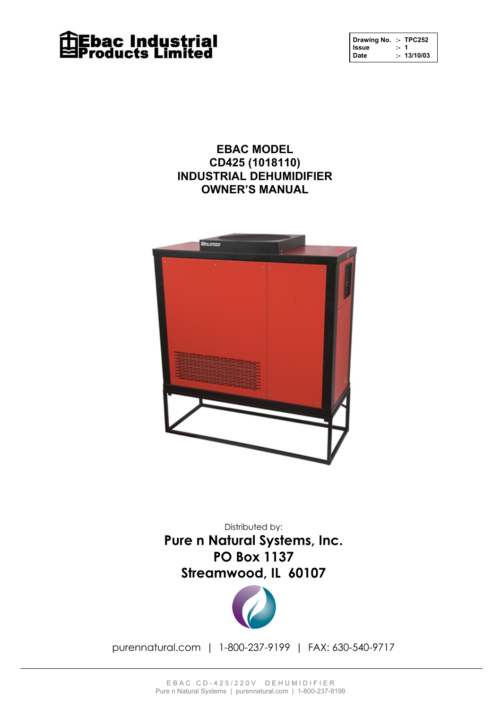

| Drawing No. :- TPC252 |      |            |
|-----------------------|------|------------|
| Issue                 | $-1$ |            |
| <b>Date</b>           |      | : 13/10/03 |

**EBAC MODEL CD425 (1018110) INDUSTRIAL DEHUMIDIFIER OWNER'S MANUAL**



Pure n Natural Systems, Inc. **PO Box 1137** News, I TO DOX 1197 Streamwood, IL 60107 Distributed by:



purennatural.com | 1-800-237-9199 | FAX: 630-540-9717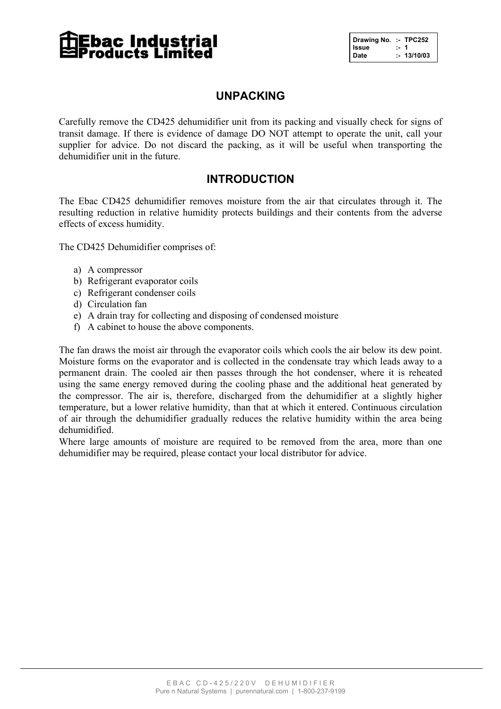# **Ebac Industrial<br>Products Limited**

| Drawing No. :- TPC252 |            |
|-----------------------|------------|
| Issue                 | $\cdot$ 1  |
| Date                  | : 13/10/03 |

#### **UNPACKING**

Carefully remove the CD425 dehumidifier unit from its packing and visually check for signs of transit damage. If there is evidence of damage DO NOT attempt to operate the unit, call your supplier for advice. Do not discard the packing, as it will be useful when transporting the dehumidifier unit in the future.

#### **INTRODUCTION**

The Ebac CD425 dehumidifier removes moisture from the air that circulates through it. The resulting reduction in relative humidity protects buildings and their contents from the adverse effects of excess humidity.

The CD425 Dehumidifier comprises of:

- a) A compressor
- b) Refrigerant evaporator coils
- c) Refrigerant condenser coils
- d) Circulation fan
- e) A drain tray for collecting and disposing of condensed moisture
- f) A cabinet to house the above components.

The fan draws the moist air through the evaporator coils which cools the air below its dew point. Moisture forms on the evaporator and is collected in the condensate tray which leads away to a permanent drain. The cooled air then passes through the hot condenser, where it is reheated using the same energy removed during the cooling phase and the additional heat generated by the compressor. The air is, therefore, discharged from the dehumidifier at a slightly higher temperature, but a lower relative humidity, than that at which it entered. Continuous circulation of air through the dehumidifier gradually reduces the relative humidity within the area being dehumidified.

Where large amounts of moisture are required to be removed from the area, more than one dehumidifier may be required, please contact your local distributor for advice.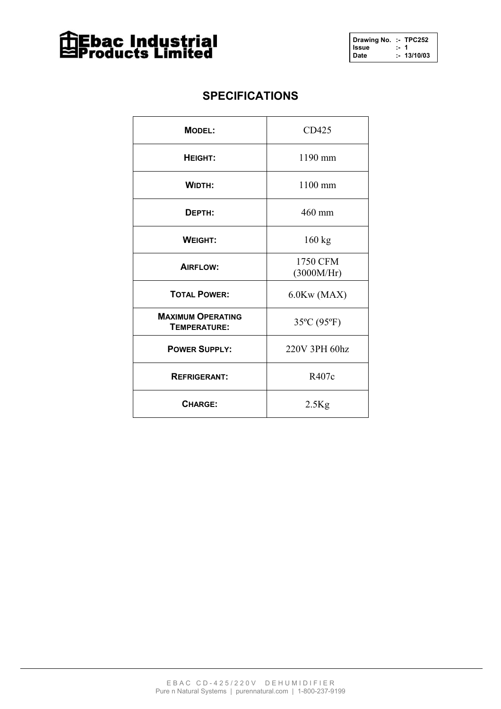

#### **SPECIFICATIONS**

| <b>MODEL:</b>                            | CD425                  |
|------------------------------------------|------------------------|
| HEIGHT:                                  | 1190 mm                |
| <b>WIDTH:</b>                            | $1100$ mm              |
| DEPTH:                                   | 460 mm                 |
| <b>WEIGHT:</b>                           | $160$ kg               |
| AIRFLOW:                                 | 1750 CFM<br>(3000M/HT) |
| <b>TOTAL POWER:</b>                      | 6.0Kw(MAX)             |
| <b>MAXIMUM OPERATING</b><br>TEMPERATURE: | 35°C (95°F)            |
| <b>POWER SUPPLY:</b>                     | 220V 3PH 60hz          |
| <b>REFRIGERANT:</b>                      | R407c                  |
| <b>CHARGE:</b>                           | $2.5$ Kg               |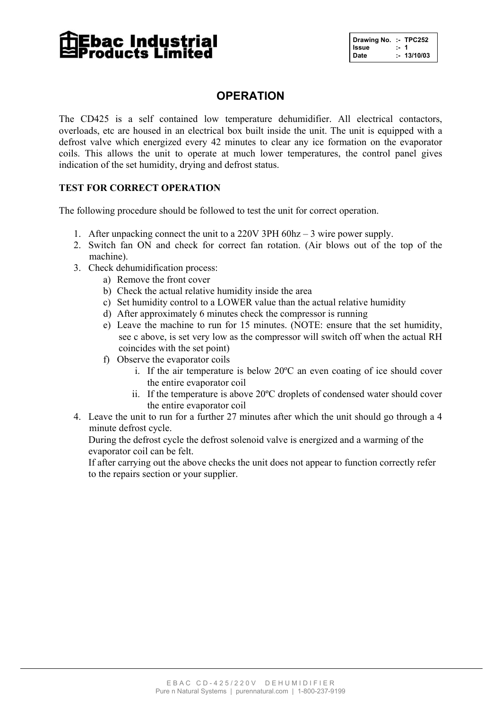# **Ebac Industrial<br>Products Limited**

| Drawing No. :- TPC252 |            |  |
|-----------------------|------------|--|
| Issue                 | . 1        |  |
| Date                  | : 13/10/03 |  |

#### **OPERATION**

The CD425 is a self contained low temperature dehumidifier. All electrical contactors, overloads, etc are housed in an electrical box built inside the unit. The unit is equipped with a defrost valve which energized every 42 minutes to clear any ice formation on the evaporator coils. This allows the unit to operate at much lower temperatures, the control panel gives indication of the set humidity, drying and defrost status.

#### **TEST FOR CORRECT OPERATION**

The following procedure should be followed to test the unit for correct operation.

- 1. After unpacking connect the unit to a 220V 3PH 60hz 3 wire power supply.
- 2. Switch fan ON and check for correct fan rotation. (Air blows out of the top of the machine).
- 3. Check dehumidification process:
	- a) Remove the front cover
	- b) Check the actual relative humidity inside the area
	- c) Set humidity control to a LOWER value than the actual relative humidity
	- d) After approximately 6 minutes check the compressor is running
	- e) Leave the machine to run for 15 minutes. (NOTE: ensure that the set humidity, see c above, is set very low as the compressor will switch off when the actual RH coincides with the set point)
	- f) Observe the evaporator coils
		- i. If the air temperature is below 20ºC an even coating of ice should cover the entire evaporator coil
		- ii. If the temperature is above 20ºC droplets of condensed water should cover the entire evaporator coil
- 4. Leave the unit to run for a further 27 minutes after which the unit should go through a 4 minute defrost cycle.

During the defrost cycle the defrost solenoid valve is energized and a warming of the evaporator coil can be felt.

If after carrying out the above checks the unit does not appear to function correctly refer to the repairs section or your supplier.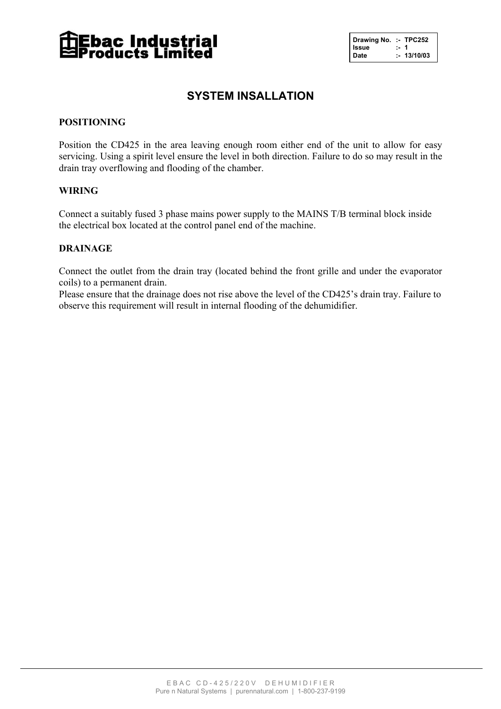

| Drawing No. :- TPC252 |      |            |
|-----------------------|------|------------|
| Issue                 | :- 1 |            |
| Date                  |      | : 13/10/03 |

#### **SYSTEM INSALLATION**

#### **POSITIONING**

Position the CD425 in the area leaving enough room either end of the unit to allow for easy servicing. Using a spirit level ensure the level in both direction. Failure to do so may result in the drain tray overflowing and flooding of the chamber.

#### **WIRING**

Connect a suitably fused 3 phase mains power supply to the MAINS T/B terminal block inside the electrical box located at the control panel end of the machine.

#### **DRAINAGE**

Connect the outlet from the drain tray (located behind the front grille and under the evaporator coils) to a permanent drain.

Please ensure that the drainage does not rise above the level of the CD425's drain tray. Failure to observe this requirement will result in internal flooding of the dehumidifier.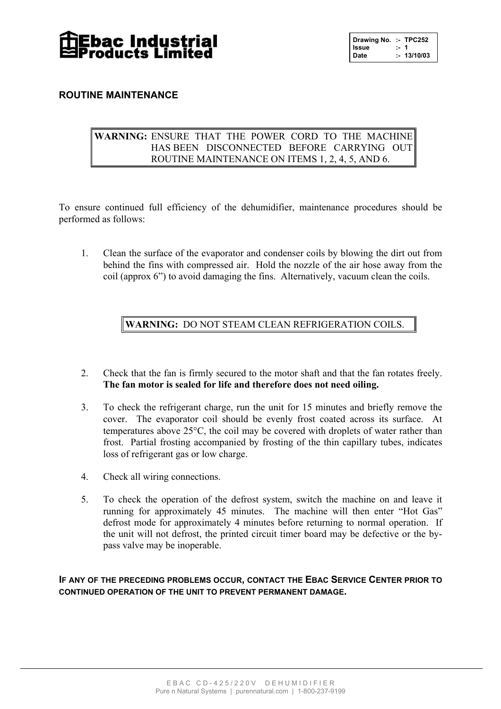

| Drawing No. :- TPC252 |      |            |
|-----------------------|------|------------|
| <b>Issue</b>          | $-1$ |            |
| Date                  |      | : 13/10/03 |

#### **ROUTINE MAINTENANCE**

#### **WARNING:** ENSURE THAT THE POWER CORD TO THE MACHINE HAS BEEN DISCONNECTED BEFORE CARRYING OUT ROUTINE MAINTENANCE ON ITEMS 1, 2, 4, 5, AND 6.

To ensure continued full efficiency of the dehumidifier, maintenance procedures should be performed as follows:

1. Clean the surface of the evaporator and condenser coils by blowing the dirt out from behind the fins with compressed air. Hold the nozzle of the air hose away from the coil (approx 6") to avoid damaging the fins. Alternatively, vacuum clean the coils.

**WARNING:** DO NOT STEAM CLEAN REFRIGERATION COILS.

- 2. Check that the fan is firmly secured to the motor shaft and that the fan rotates freely. **The fan motor is sealed for life and therefore does not need oiling.**
- 3. To check the refrigerant charge, run the unit for 15 minutes and briefly remove the cover. The evaporator coil should be evenly frost coated across its surface. At temperatures above 25°C, the coil may be covered with droplets of water rather than frost. Partial frosting accompanied by frosting of the thin capillary tubes, indicates loss of refrigerant gas or low charge.
- 4. Check all wiring connections.
- 5. To check the operation of the defrost system, switch the machine on and leave it running for approximately 45 minutes. The machine will then enter "Hot Gas" defrost mode for approximately 4 minutes before returning to normal operation. If the unit will not defrost, the printed circuit timer board may be defective or the bypass valve may be inoperable.

**IF ANY OF THE PRECEDING PROBLEMS OCCUR, CONTACT THE EBAC SERVICE CENTER PRIOR TO CONTINUED OPERATION OF THE UNIT TO PREVENT PERMANENT DAMAGE.**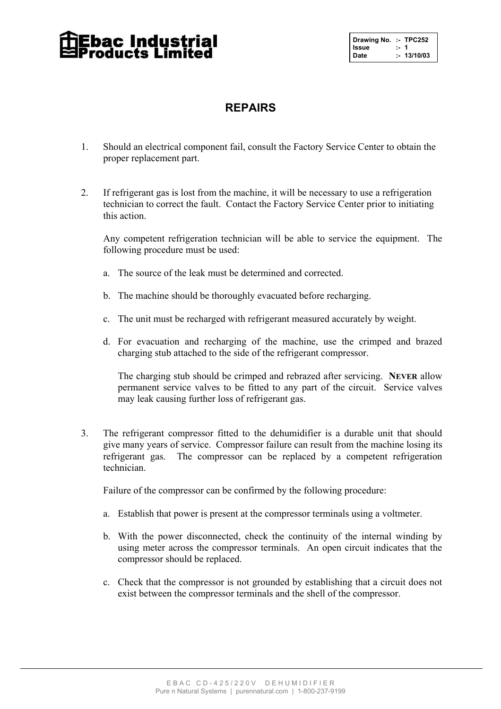### **Ebac Industrial:**<br>roducts Limited:

| Drawing No. :- TPC252<br>Issue :- 1<br>Date :- 13/10/03 |            |  |
|---------------------------------------------------------|------------|--|
|                                                         |            |  |
|                                                         | : 13/10/03 |  |

#### **REPAIRS**

- 1. Should an electrical component fail, consult the Factory Service Center to obtain the proper replacement part.
- 2. If refrigerant gas is lost from the machine, it will be necessary to use a refrigeration technician to correct the fault. Contact the Factory Service Center prior to initiating this action.

Any competent refrigeration technician will be able to service the equipment. The following procedure must be used:

- a. The source of the leak must be determined and corrected.
- b. The machine should be thoroughly evacuated before recharging.
- c. The unit must be recharged with refrigerant measured accurately by weight.
- d. For evacuation and recharging of the machine, use the crimped and brazed charging stub attached to the side of the refrigerant compressor.

The charging stub should be crimped and rebrazed after servicing. **NEVER** allow permanent service valves to be fitted to any part of the circuit. Service valves may leak causing further loss of refrigerant gas.

3. The refrigerant compressor fitted to the dehumidifier is a durable unit that should give many years of service. Compressor failure can result from the machine losing its refrigerant gas. The compressor can be replaced by a competent refrigeration technician.

Failure of the compressor can be confirmed by the following procedure:

- a. Establish that power is present at the compressor terminals using a voltmeter.
- b. With the power disconnected, check the continuity of the internal winding by using meter across the compressor terminals. An open circuit indicates that the compressor should be replaced.
- c. Check that the compressor is not grounded by establishing that a circuit does not exist between the compressor terminals and the shell of the compressor.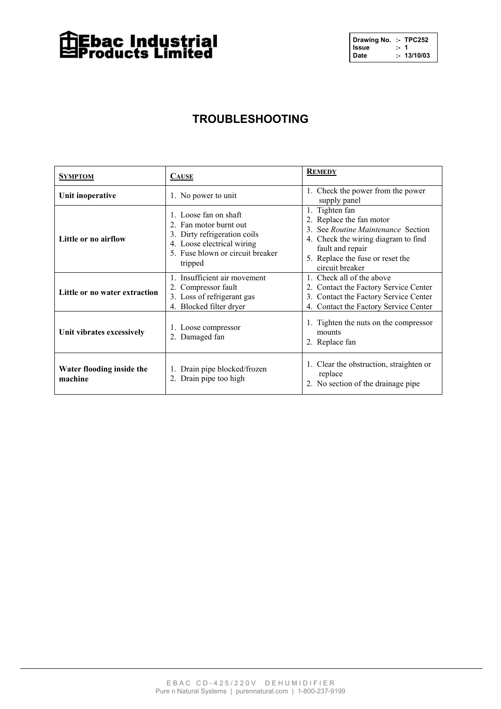## **The Sec Industrial**<br>Exproducts Limited

| Drawing No. :- TPC252 |      |            |
|-----------------------|------|------------|
| Issue                 | :- 1 |            |
| Date                  |      | : 13/10/03 |

### **TROUBLESHOOTING**

| <b>SYMPTOM</b>                       | <b>CAUSE</b>                                                                                                                                                 | <b>REMEDY</b>                                                                                                                                                                                      |
|--------------------------------------|--------------------------------------------------------------------------------------------------------------------------------------------------------------|----------------------------------------------------------------------------------------------------------------------------------------------------------------------------------------------------|
| Unit inoperative                     | 1. No power to unit                                                                                                                                          | Check the power from the power<br>1.<br>supply panel                                                                                                                                               |
| Little or no airflow                 | 1. Loose fan on shaft<br>2. Fan motor burnt out<br>3. Dirty refrigeration coils<br>4. Loose electrical wiring<br>5. Fuse blown or circuit breaker<br>tripped | 1. Tighten fan<br>2. Replace the fan motor<br>3. See Routine Maintenance Section<br>4. Check the wiring diagram to find<br>fault and repair<br>5. Replace the fuse or reset the<br>circuit breaker |
| Little or no water extraction        | 1. Insufficient air movement<br>2. Compressor fault<br>3. Loss of refrigerant gas<br>4. Blocked filter dryer                                                 | 1. Check all of the above<br>2. Contact the Factory Service Center<br>3. Contact the Factory Service Center<br>Contact the Factory Service Center                                                  |
| Unit vibrates excessively            | 1. Loose compressor<br>2. Damaged fan                                                                                                                        | 1. Tighten the nuts on the compressor<br>mounts<br>2. Replace fan                                                                                                                                  |
| Water flooding inside the<br>machine | 1. Drain pipe blocked/frozen<br>2. Drain pipe too high                                                                                                       | 1. Clear the obstruction, straighten or<br>replace<br>2. No section of the drainage pipe                                                                                                           |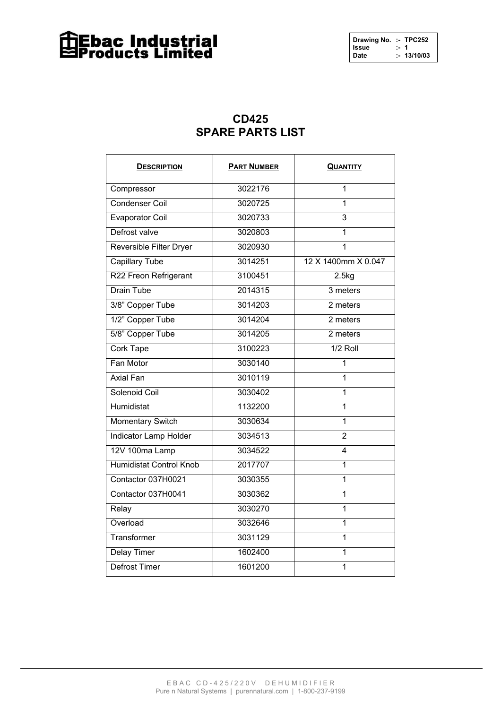### **The Sec Industrial**<br>Exproducts Limited

| Drawing No. :- TPC252 |     |            |
|-----------------------|-----|------------|
| Issue                 | . 1 |            |
| Date                  |     | : 13/10/03 |

#### **CD425 SPARE PARTS LIST**

| <b>DESCRIPTION</b>             | <b>PART NUMBER</b> | <b>QUANTITY</b>     |
|--------------------------------|--------------------|---------------------|
| Compressor                     | 3022176            | 1                   |
| <b>Condenser Coil</b>          | 3020725            | 1                   |
| <b>Evaporator Coil</b>         | 3020733            | 3                   |
| Defrost valve                  | 3020803            | 1                   |
| Reversible Filter Dryer        | 3020930            | 1                   |
| <b>Capillary Tube</b>          | 3014251            | 12 X 1400mm X 0.047 |
| R22 Freon Refrigerant          | 3100451            | 2.5kg               |
| <b>Drain Tube</b>              | 2014315            | 3 meters            |
| 3/8" Copper Tube               | 3014203            | 2 meters            |
| 1/2" Copper Tube               | 3014204            | $2$ meters          |
| 5/8" Copper Tube               | 3014205            | 2 meters            |
| Cork Tape                      | 3100223            | $1/2$ Roll          |
| Fan Motor                      | 3030140            | 1                   |
| <b>Axial Fan</b>               | 3010119            | 1                   |
| Solenoid Coil                  | 3030402            | 1                   |
| Humidistat                     | 1132200            | 1                   |
| <b>Momentary Switch</b>        | 3030634            | 1                   |
| <b>Indicator Lamp Holder</b>   | 3034513            | $\overline{2}$      |
| 12V 100ma Lamp                 | 3034522            | 4                   |
| <b>Humidistat Control Knob</b> | 2017707            | 1                   |
| Contactor 037H0021             | 3030355            | $\overline{1}$      |
| Contactor 037H0041             | 3030362            | $\overline{1}$      |
| Relay                          | 3030270            | $\overline{1}$      |
| Overload                       | 3032646            | 1                   |
| Transformer                    | 3031129            | $\overline{1}$      |
| <b>Delay Timer</b>             | 1602400            | 1                   |
| <b>Defrost Timer</b>           | 1601200            | 1                   |